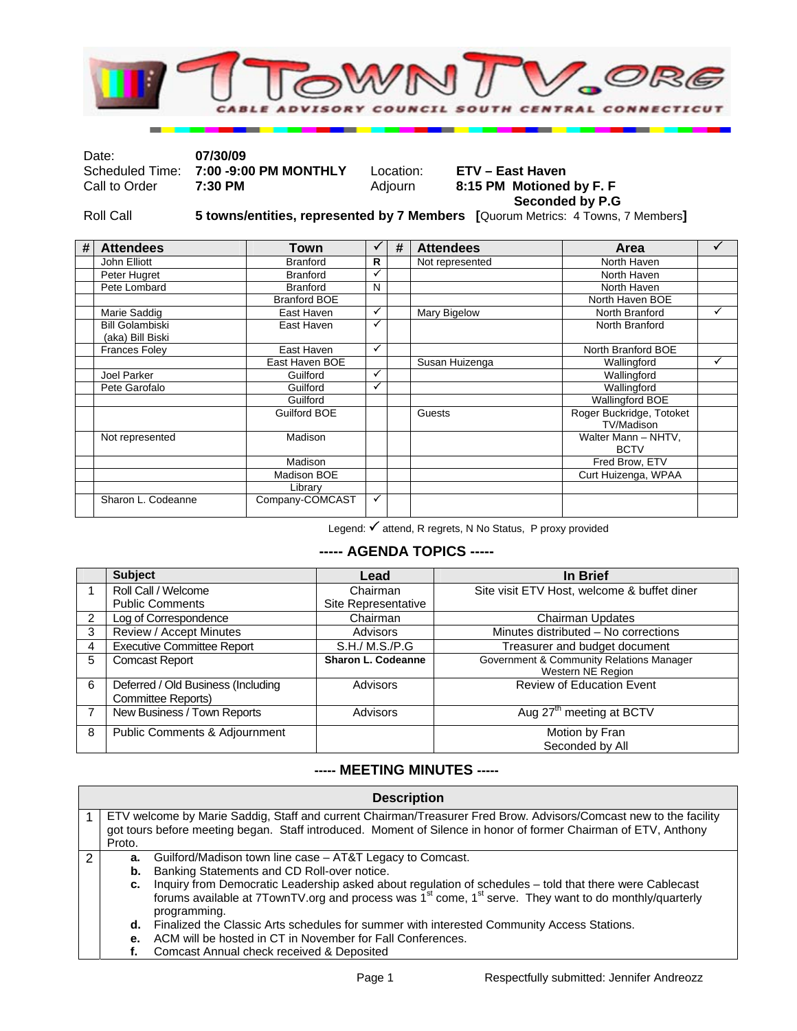

Date: **07/30/09**  Scheduled Time: **7:00 -9:00 PM MONTHLY** Location: **ETV – East Haven**  8:15 PM Motioned by F. F  **Seconded by P.G** 

Roll Call **5 towns/entities, represented by 7 Members [**Quorum Metrics: 4 Towns, 7 Members**]** 

| # | <b>Attendees</b>                           | Town                |              | # | <b>Attendees</b> | Area                                   |   |
|---|--------------------------------------------|---------------------|--------------|---|------------------|----------------------------------------|---|
|   | John Elliott                               | <b>Branford</b>     | R            |   | Not represented  | North Haven                            |   |
|   | Peter Hugret                               | <b>Branford</b>     | ✓            |   |                  | North Haven                            |   |
|   | Pete Lombard                               | <b>Branford</b>     | N            |   |                  | North Haven                            |   |
|   |                                            | <b>Branford BOE</b> |              |   |                  | North Haven BOE                        |   |
|   | Marie Saddig                               | East Haven          | ✓            |   | Mary Bigelow     | North Branford                         | ✓ |
|   | <b>Bill Golambiski</b><br>(aka) Bill Biski | East Haven          | ✓            |   |                  | North Branford                         |   |
|   | <b>Frances Foley</b>                       | East Haven          | ✓            |   |                  | North Branford BOE                     |   |
|   |                                            | East Haven BOE      |              |   | Susan Huizenga   | Wallingford                            | ✓ |
|   | Joel Parker                                | Guilford            | $\checkmark$ |   |                  | Wallingford                            |   |
|   | Pete Garofalo                              | Guilford            | $\checkmark$ |   |                  | Wallingford                            |   |
|   |                                            | Guilford            |              |   |                  | Wallingford BOE                        |   |
|   |                                            | Guilford BOE        |              |   | Guests           | Roger Buckridge, Totoket<br>TV/Madison |   |
|   | Not represented                            | Madison             |              |   |                  | Walter Mann - NHTV,<br><b>BCTV</b>     |   |
|   |                                            | Madison             |              |   |                  | Fred Brow, ETV                         |   |
|   |                                            | Madison BOE         |              |   |                  | Curt Huizenga, WPAA                    |   |
|   |                                            | Library             |              |   |                  |                                        |   |
|   | Sharon L. Codeanne                         | Company-COMCAST     | ✓            |   |                  |                                        |   |

Legend:  $\checkmark$  attend, R regrets, N No Status, P proxy provided

## **----- AGENDA TOPICS -----**

|                | <b>Subject</b>                                           | Lead                | In Brief                                                      |
|----------------|----------------------------------------------------------|---------------------|---------------------------------------------------------------|
|                | Roll Call / Welcome                                      | Chairman            | Site visit ETV Host, welcome & buffet diner                   |
|                | <b>Public Comments</b>                                   | Site Representative |                                                               |
| $\overline{2}$ | Log of Correspondence                                    | Chairman            | <b>Chairman Updates</b>                                       |
| 3              | Review / Accept Minutes                                  | Advisors            | Minutes distributed - No corrections                          |
| 4              | <b>Executive Committee Report</b>                        | S.H./ M.S./P.G      | Treasurer and budget document                                 |
| 5              | <b>Comcast Report</b>                                    | Sharon L. Codeanne  | Government & Community Relations Manager<br>Western NE Region |
| 6              | Deferred / Old Business (Including<br>Committee Reports) | <b>Advisors</b>     | <b>Review of Education Event</b>                              |
| 7              | New Business / Town Reports                              | Advisors            | Aug 27 <sup>th</sup> meeting at BCTV                          |
| 8              | Public Comments & Adjournment                            |                     | Motion by Fran                                                |
|                |                                                          |                     | Seconded by All                                               |

## **----- MEETING MINUTES -----**

|   | <b>Description</b>                                                                                                                                                                                                                             |                                                                                                                                                                                                                                                           |  |  |  |  |
|---|------------------------------------------------------------------------------------------------------------------------------------------------------------------------------------------------------------------------------------------------|-----------------------------------------------------------------------------------------------------------------------------------------------------------------------------------------------------------------------------------------------------------|--|--|--|--|
|   | ETV welcome by Marie Saddig, Staff and current Chairman/Treasurer Fred Brow. Advisors/Comcast new to the facility<br>got tours before meeting began. Staff introduced. Moment of Silence in honor of former Chairman of ETV, Anthony<br>Proto. |                                                                                                                                                                                                                                                           |  |  |  |  |
| 2 | а.<br>b.                                                                                                                                                                                                                                       | Guilford/Madison town line case – AT&T Legacy to Comcast.<br>Banking Statements and CD Roll-over notice.                                                                                                                                                  |  |  |  |  |
|   | c.                                                                                                                                                                                                                                             | Inquiry from Democratic Leadership asked about regulation of schedules - told that there were Cablecast<br>forums available at 7TownTV org and process was 1 <sup>st</sup> come, 1 <sup>st</sup> serve. They want to do monthly/quarterly<br>programming. |  |  |  |  |
|   | Finalized the Classic Arts schedules for summer with interested Community Access Stations.<br>d.                                                                                                                                               |                                                                                                                                                                                                                                                           |  |  |  |  |
|   | ACM will be hosted in CT in November for Fall Conferences.<br>е.                                                                                                                                                                               |                                                                                                                                                                                                                                                           |  |  |  |  |
|   |                                                                                                                                                                                                                                                | Comcast Annual check received & Deposited                                                                                                                                                                                                                 |  |  |  |  |